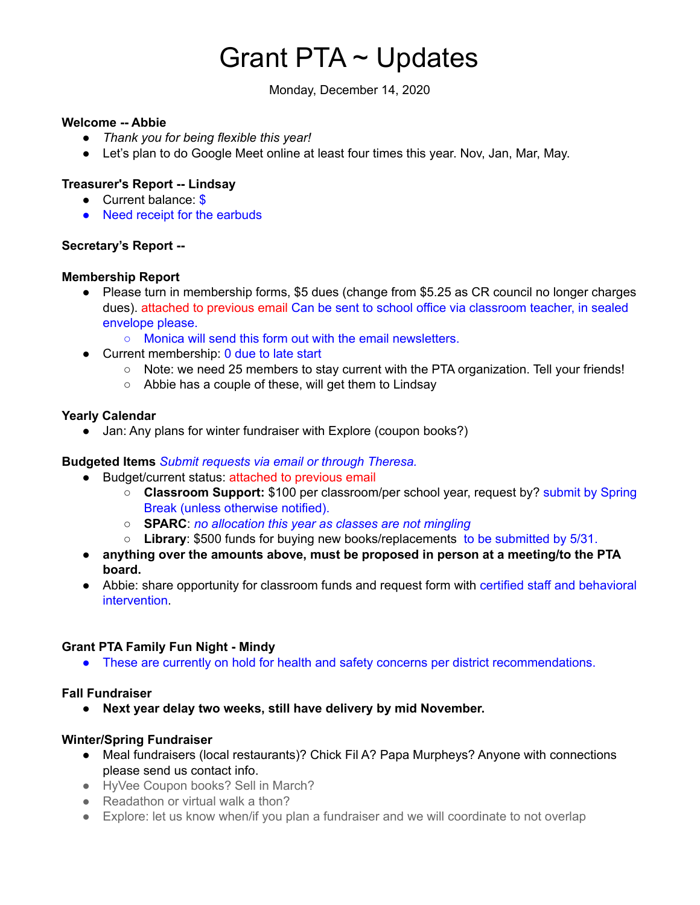# Grant PTA ~ Updates

Monday, December 14, 2020

#### **Welcome -- Abbie**

- *Thank you for being flexible this year!*
- Let's plan to do Google Meet online at least four times this year. Nov, Jan, Mar, May.

# **Treasurer's Report -- Lindsay**

- Current balance: \$
- Need receipt for the earbuds

## **Secretary's Report --**

## **Membership Report**

● Please turn in membership forms, \$5 dues (change from \$5.25 as CR council no longer charges dues). attached to previous email Can be sent to school office via classroom teacher, in sealed envelope please.

○ Monica will send this form out with the email newsletters.

- Current membership: 0 due to late start
	- Note: we need 25 members to stay current with the PTA organization. Tell your friends!
	- Abbie has a couple of these, will get them to Lindsay

#### **Yearly Calendar**

Jan: Any plans for winter fundraiser with Explore (coupon books?)

## **Budgeted Items** *Submit requests via email or through Theresa.*

- Budget/current status: attached to previous email
	- **Classroom Support:** \$100 per classroom/per school year, request by? submit by Spring Break (unless otherwise notified).
	- **SPARC**: *no allocation this year as classes are not mingling*
	- **Library**: \$500 funds for buying new books/replacements to be submitted by 5/31.
- **anything over the amounts above, must be proposed in person at a meeting/to the PTA board.**
- Abbie: share opportunity for classroom funds and request form with certified staff and behavioral intervention.

## **Grant PTA Family Fun Night - Mindy**

• These are currently on hold for health and safety concerns per district recommendations.

## **Fall Fundraiser**

**● Next year delay two weeks, still have delivery by mid November.**

## **Winter/Spring Fundraiser**

- Meal fundraisers (local restaurants)? Chick Fil A? Papa Murpheys? Anyone with connections please send us contact info.
- HyVee Coupon books? Sell in March?
- Readathon or virtual walk a thon?
- Explore: let us know when/if you plan a fundraiser and we will coordinate to not overlap